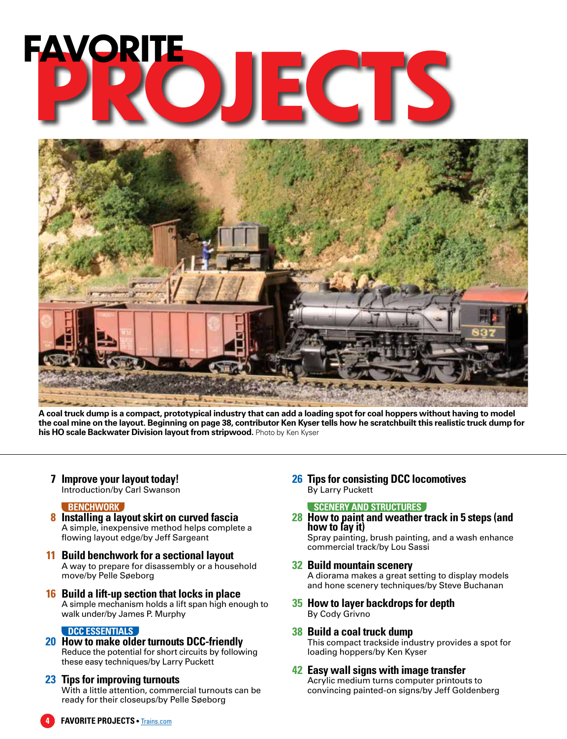# **PROJECTS FAVORITE**



**A coal truck dump is a compact, prototypical industry that can add a loading spot for coal hoppers without having to model the coal mine on the layout. Beginning on page 38, contributor Ken Kyser tells how he scratchbuilt this realistic truck dump for his HO scale Backwater Division layout from stripwood.** Photo by Ken Kyser

**7 Improve your layout today!** Introduction/by Carl Swanson

#### **BENCHWORK**

- **8 Installing a layout skirt on curved fascia** A simple, inexpensive method helps complete a flowing layout edge/by Jeff Sargeant
- **11 Build benchwork for a sectional layout** A way to prepare for disassembly or a household move/by Pelle Søeborg
- **16 Build a lift-up section that locks in place** A simple mechanism holds a lift span high enough to walk under/by James P. Murphy

#### **DCC ESSENTIALS**

**20 How to make older turnouts DCC-friendly** Reduce the potential for short circuits by following these easy techniques/by Larry Puckett

#### **23 Tips for improving turnouts**

With a little attention, commercial turnouts can be ready for their closeups/by Pelle Søeborg

**26 Tips for consisting DCC locomotives** By Larry Puckett

#### **SCENERY AND STRUCTURES**

**28 How to paint and weather track in 5 steps (and how to lay it)**

Spray painting, brush painting, and a wash enhance commercial track/by Lou Sassi

- **32 Build mountain scenery** A diorama makes a great setting to display models and hone scenery techniques/by Steve Buchanan
- **35 How to layer backdrops for depth** By Cody Grivno
- **38 Build a coal truck dump** This compact trackside industry provides a spot for loading hoppers/by Ken Kyser
- **42 Easy wall signs with image transfer** Acrylic medium turns computer printouts to convincing painted-on signs/by Jeff Goldenberg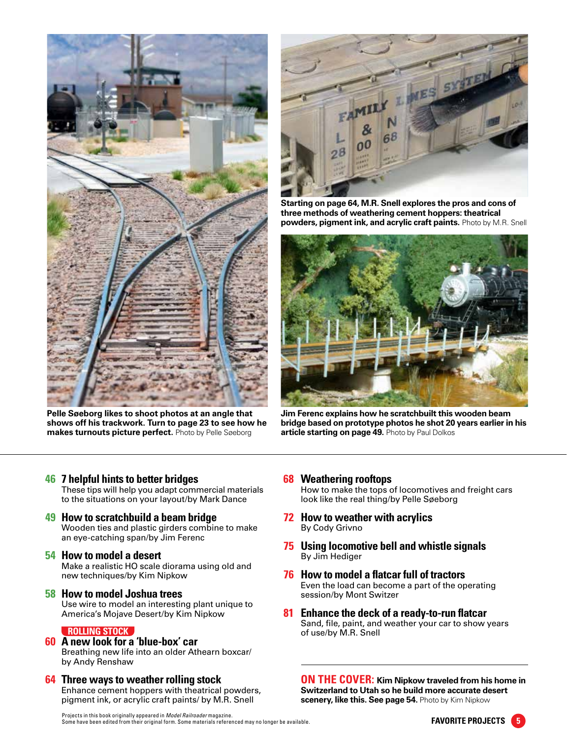

**Pelle Søeborg likes to shoot photos at an angle that shows off his trackwork. Turn to page 23 to see how he makes turnouts picture perfect.** Photo by Pelle Søeborg



**Starting on page 64, M.R. Snell explores the pros and cons of three methods of weathering cement hoppers: theatrical powders, pigment ink, and acrylic craft paints.** Photo by M.R. Snell



**Jim Ferenc explains how he scratchbuilt this wooden beam bridge based on prototype photos he shot 20 years earlier in his article starting on page 49.** Photo by Paul Dolkos

#### **46 7 helpful hints to better bridges**

These tips will help you adapt commercial materials to the situations on your layout/by Mark Dance

#### **49 How to scratchbuild a beam bridge** Wooden ties and plastic girders combine to make

an eye-catching span/by Jim Ferenc

#### **54 How to model a desert**

Make a realistic HO scale diorama using old and new techniques/by Kim Nipkow

#### **58 How to model Joshua trees** Use wire to model an interesting plant unique to America's Mojave Desert/by Kim Nipkow

#### **ROLLING STOCK**

#### **60 A new look for a 'blue-box' car**

Breathing new life into an older Athearn boxcar/ by Andy Renshaw

**64 Three ways to weather rolling stock** Enhance cement hoppers with theatrical powders, pigment ink, or acrylic craft paints/ by M.R. Snell

#### **68 Weathering rooftops**

How to make the tops of locomotives and freight cars look like the real thing/by Pelle Søeborg

- **72 How to weather with acrylics** By Cody Grivno
- **75 Using locomotive bell and whistle signals** By Jim Hediger
- **76 How to model a flatcar full of tractors** Even the load can become a part of the operating session/by Mont Switzer
- **81 Enhance the deck of a ready-to-run flatcar** Sand, file, paint, and weather your car to show years of use/by M.R. Snell

**ON THE COVER: Kim Nipkow traveled from his home in Switzerland to Utah so he build more accurate desert scenery, like this. See page 54.** Photo by Kim Nipkow

Projects in this book originally appeared in *Model Railroader* magazine. Some have been edited from their original form. Some materials referenced may no longer be available.

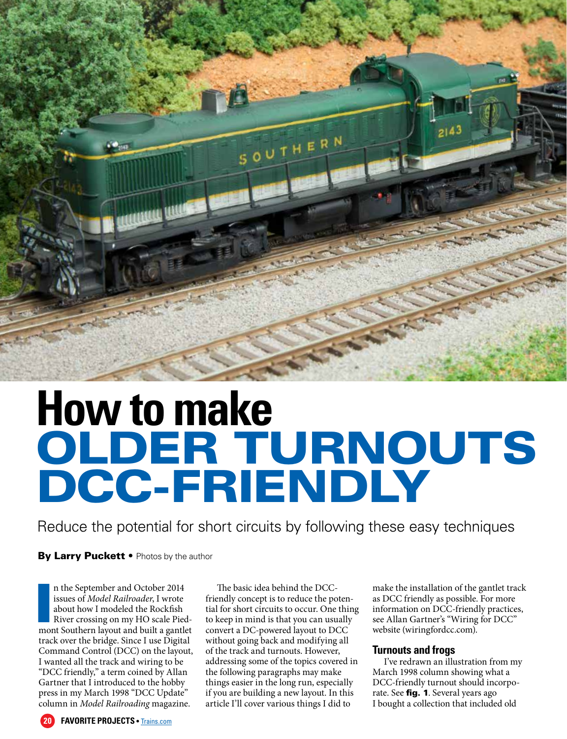

# **How to make** OLDER TURNOUTS DCC-FRIENDLY

Reduce the potential for short circuits by following these easy techniques

By Larry Puckett • Photos by the author

n the September and October 2014<br>issues of *Model Railroader*, I wrote<br>about how I modeled the Rockfish<br>River crossing on my HO scale Pied-<br>mont Southern layout and built a gantlet n the September and October 2014 issues of *Model Railroader*, I wrote about how I modeled the Rockfish River crossing on my HO scale Piedtrack over the bridge. Since I use Digital Command Control (DCC) on the layout, I wanted all the track and wiring to be "DCC friendly," a term coined by Allan Gartner that I introduced to the hobby press in my March 1998 "DCC Update" column in *Model Railroading* magazine.

The basic idea behind the DCCfriendly concept is to reduce the potential for short circuits to occur. One thing to keep in mind is that you can usually convert a DC-powered layout to DCC without going back and modifying all of the track and turnouts. However, addressing some of the topics covered in the following paragraphs may make things easier in the long run, especially if you are building a new layout. In this article I'll cover various things I did to

make the installation of the gantlet track as DCC friendly as possible. For more information on DCC-friendly practices, see Allan Gartner's "Wiring for DCC" website (wiringfordcc.com).

#### **Turnouts and frogs**

I've redrawn an illustration from my March 1998 column showing what a DCC-friendly turnout should incorporate. See fig. 1. Several years ago I bought a collection that included old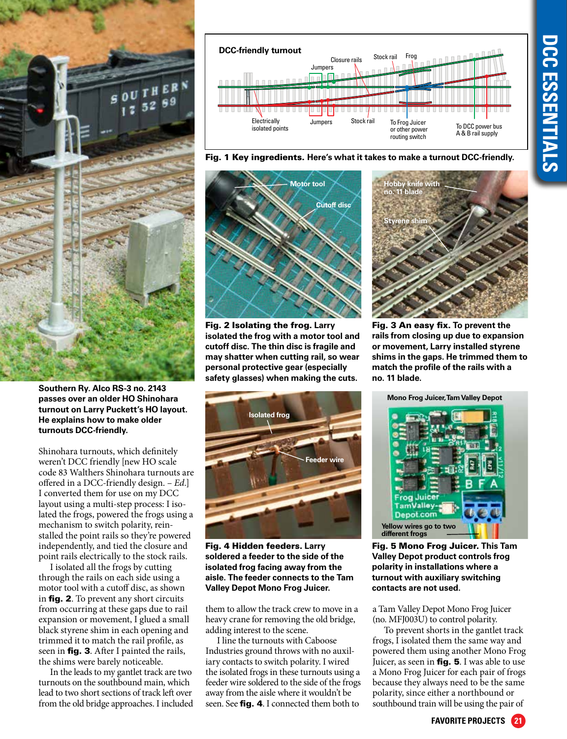

**Southern Ry. Alco RS-3 no. 2143 passes over an older HO Shinohara turnout on Larry Puckett's HO layout. He explains how to make older turnouts DCC-friendly.**

Shinohara turnouts, which definitely weren't DCC friendly [new HO scale code 83 Walthers Shinohara turnouts are offered in a DCC-friendly design. – *Ed.*] I converted them for use on my DCC layout using a multi-step process: I isolated the frogs, powered the frogs using a mechanism to switch polarity, reinstalled the point rails so they're powered independently, and tied the closure and point rails electrically to the stock rails.

I isolated all the frogs by cutting through the rails on each side using a motor tool with a cutoff disc, as shown in fig. 2. To prevent any short circuits from occurring at these gaps due to rail expansion or movement, I glued a small black styrene shim in each opening and trimmed it to match the rail profile, as seen in **fig. 3**. After I painted the rails, the shims were barely noticeable.

In the leads to my gantlet track are two turnouts on the southbound main, which lead to two short sections of track left over from the old bridge approaches. I included



Fig. 1 Key ingredients. **Here's what it takes to make a turnout DCC-friendly.**



Fig. 2 Isolating the frog. **Larry isolated the frog with a motor tool and cutoff disc. The thin disc is fragile and may shatter when cutting rail, so wear personal protective gear (especially safety glasses) when making the cuts.**



Fig. 4 Hidden feeders. **Larry soldered a feeder to the side of the isolated frog facing away from the aisle. The feeder connects to the Tam Valley Depot Mono Frog Juicer.**

them to allow the track crew to move in a heavy crane for removing the old bridge, adding interest to the scene.

I line the turnouts with Caboose Industries ground throws with no auxiliary contacts to switch polarity. I wired the isolated frogs in these turnouts using a feeder wire soldered to the side of the frogs away from the aisle where it wouldn't be seen. See **fig. 4**. I connected them both to



Fig. 3 An easy fix. **To prevent the rails from closing up due to expansion or movement, Larry installed styrene shims in the gaps. He trimmed them to match the profile of the rails with a no. 11 blade.**



Fig. 5 Mono Frog Juicer. **This Tam Valley Depot product controls frog polarity in installations where a turnout with auxiliary switching contacts are not used.** 

a Tam Valley Depot Mono Frog Juicer (no. MFJ003U) to control polarity.

To prevent shorts in the gantlet track frogs, I isolated them the same way and powered them using another Mono Frog Juicer, as seen in **fig. 5**. I was able to use a Mono Frog Juicer for each pair of frogs because they always need to be the same polarity, since either a northbound or southbound train will be using the pair of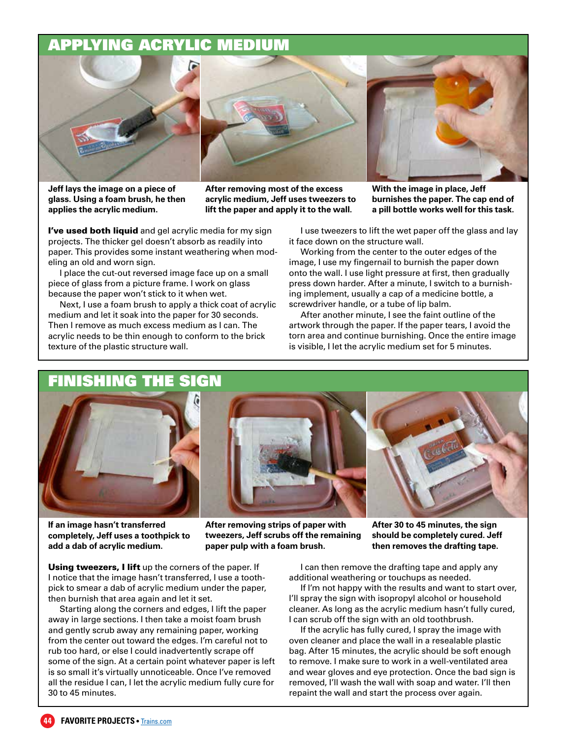### APPLYING ACRYLIC MEDIUM



**Jeff lays the image on a piece of glass. Using a foam brush, he then applies the acrylic medium.**

**After removing most of the excess acrylic medium, Jeff uses tweezers to lift the paper and apply it to the wall.**

**With the image in place, Jeff burnishes the paper. The cap end of a pill bottle works well for this task.**

I've used both liquid and gel acrylic media for my sign projects. The thicker gel doesn't absorb as readily into paper. This provides some instant weathering when modeling an old and worn sign.

I place the cut-out reversed image face up on a small piece of glass from a picture frame. I work on glass because the paper won't stick to it when wet.

Next, I use a foam brush to apply a thick coat of acrylic medium and let it soak into the paper for 30 seconds. Then I remove as much excess medium as I can. The acrylic needs to be thin enough to conform to the brick texture of the plastic structure wall.

I use tweezers to lift the wet paper off the glass and lay it face down on the structure wall.

Working from the center to the outer edges of the image, I use my fingernail to burnish the paper down onto the wall. I use light pressure at first, then gradually press down harder. After a minute, I switch to a burnishing implement, usually a cap of a medicine bottle, a screwdriver handle, or a tube of lip balm.

After another minute, I see the faint outline of the artwork through the paper. If the paper tears, I avoid the torn area and continue burnishing. Once the entire image is visible, I let the acrylic medium set for 5 minutes.

# FINISHING THE SIGN

**If an image hasn't transferred completely, Jeff uses a toothpick to add a dab of acrylic medium.**

**After removing strips of paper with tweezers, Jeff scrubs off the remaining paper pulp with a foam brush.**

**After 30 to 45 minutes, the sign should be completely cured. Jeff then removes the drafting tape.**

Using tweezers, I lift up the corners of the paper. If I notice that the image hasn't transferred, I use a toothpick to smear a dab of acrylic medium under the paper, then burnish that area again and let it set.

Starting along the corners and edges, I lift the paper away in large sections. I then take a moist foam brush and gently scrub away any remaining paper, working from the center out toward the edges. I'm careful not to rub too hard, or else I could inadvertently scrape off some of the sign. At a certain point whatever paper is left is so small it's virtually unnoticeable. Once I've removed all the residue I can, I let the acrylic medium fully cure for 30 to 45 minutes.

I can then remove the drafting tape and apply any additional weathering or touchups as needed.

If I'm not happy with the results and want to start over, I'll spray the sign with isopropyl alcohol or household cleaner. As long as the acrylic medium hasn't fully cured, I can scrub off the sign with an old toothbrush.

If the acrylic has fully cured, I spray the image with oven cleaner and place the wall in a resealable plastic bag. After 15 minutes, the acrylic should be soft enough to remove. I make sure to work in a well-ventilated area and wear gloves and eye protection. Once the bad sign is removed, I'll wash the wall with soap and water. I'll then repaint the wall and start the process over again.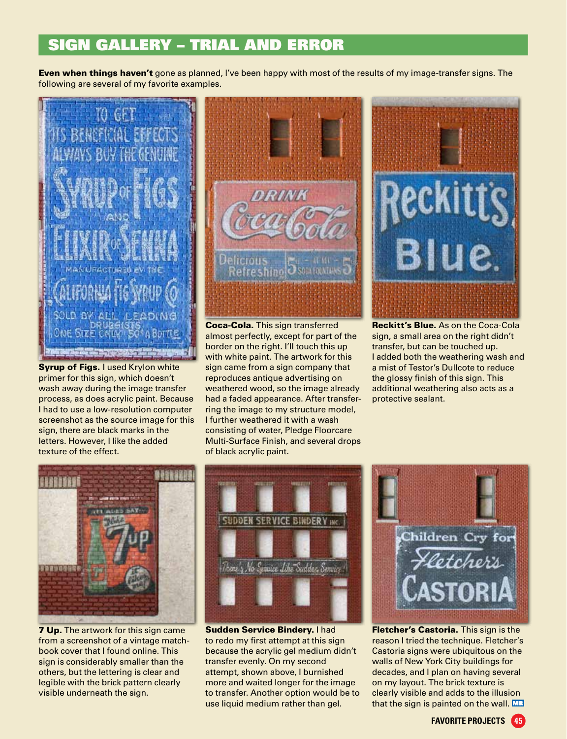### SIGN GALLERY – TRIAL AND ERROR

**Even when things haven't** gone as planned, I've been happy with most of the results of my image-transfer signs. The following are several of my favorite examples.



Syrup of Figs. I used Krylon white primer for this sign, which doesn't wash away during the image transfer process, as does acrylic paint. Because I had to use a low-resolution computer screenshot as the source image for this sign, there are black marks in the letters. However, I like the added texture of the effect.



Coca-Cola. This sign transferred almost perfectly, except for part of the border on the right. I'll touch this up with white paint. The artwork for this sign came from a sign company that reproduces antique advertising on weathered wood, so the image already had a faded appearance. After transferring the image to my structure model, I further weathered it with a wash consisting of water, Pledge Floorcare Multi-Surface Finish, and several drops of black acrylic paint.



Reckitt's Blue. As on the Coca-Cola sign, a small area on the right didn't transfer, but can be touched up. I added both the weathering wash and a mist of Testor's Dullcote to reduce the glossy finish of this sign. This additional weathering also acts as a protective sealant.



**7 Up.** The artwork for this sign came from a screenshot of a vintage matchbook cover that I found online. This sign is considerably smaller than the others, but the lettering is clear and legible with the brick pattern clearly visible underneath the sign.



Sudden Service Bindery. I had to redo my first attempt at this sign because the acrylic gel medium didn't transfer evenly. On my second attempt, shown above, I burnished more and waited longer for the image to transfer. Another option would be to use liquid medium rather than gel.



**Fletcher's Castoria.** This sign is the reason I tried the technique. Fletcher's Castoria signs were ubiquitous on the walls of New York City buildings for decades, and I plan on having several on my layout. The brick texture is clearly visible and adds to the illusion that the sign is painted on the wall. MR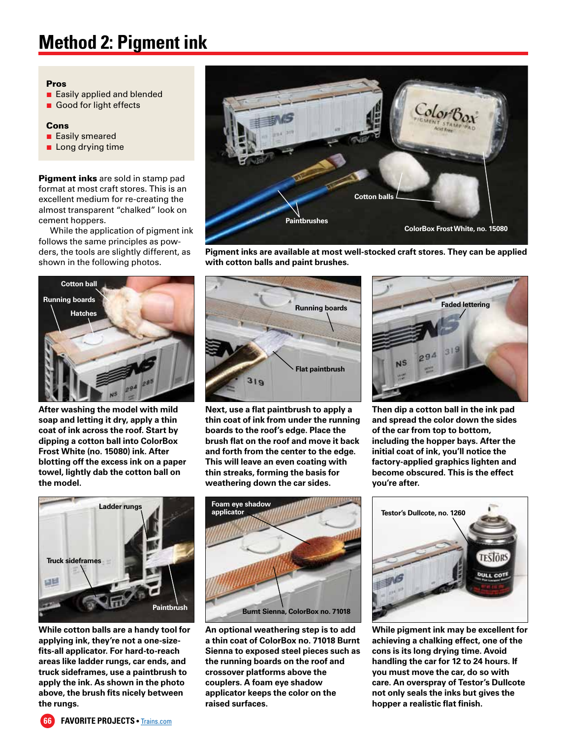# **Method 2: Pigment ink**

#### Pros

- Easily applied and blended
- Good for light effects

#### Cons

- **Easily smeared**
- **Long drying time**

**Pigment inks** are sold in stamp pad format at most craft stores. This is an excellent medium for re-creating the almost transparent "chalked" look on cement hoppers.

While the application of pigment ink follows the same principles as powders, the tools are slightly different, as shown in the following photos.



**Pigment inks are available at most well-stocked craft stores. They can be applied with cotton balls and paint brushes.**



**After washing the model with mild soap and letting it dry, apply a thin coat of ink across the roof. Start by dipping a cotton ball into ColorBox Frost White (no. 15080) ink. After blotting off the excess ink on a paper towel, lightly dab the cotton ball on the model.** 



**Next, use a flat paintbrush to apply a thin coat of ink from under the running boards to the roof's edge. Place the brush flat on the roof and move it back and forth from the center to the edge. This will leave an even coating with thin streaks, forming the basis for weathering down the car sides.**



**Then dip a cotton ball in the ink pad and spread the color down the sides of the car from top to bottom, including the hopper bays. After the initial coat of ink, you'll notice the factory-applied graphics lighten and become obscured. This is the effect you're after.**



**While cotton balls are a handy tool for applying ink, they're not a one-sizefits-all applicator. For hard-to-reach areas like ladder rungs, car ends, and truck sideframes, use a paintbrush to apply the ink. As shown in the photo above, the brush fits nicely between the rungs.**



**An optional weathering step is to add a thin coat of ColorBox no. 71018 Burnt Sienna to exposed steel pieces such as the running boards on the roof and crossover platforms above the couplers. A foam eye shadow applicator keeps the color on the raised surfaces.**



**While pigment ink may be excellent for achieving a chalking effect, one of the cons is its long drying time. Avoid handling the car for 12 to 24 hours. If you must move the car, do so with care. An overspray of Testor's Dullcote not only seals the inks but gives the hopper a realistic flat finish.**